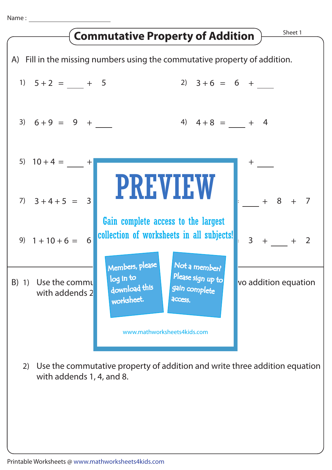